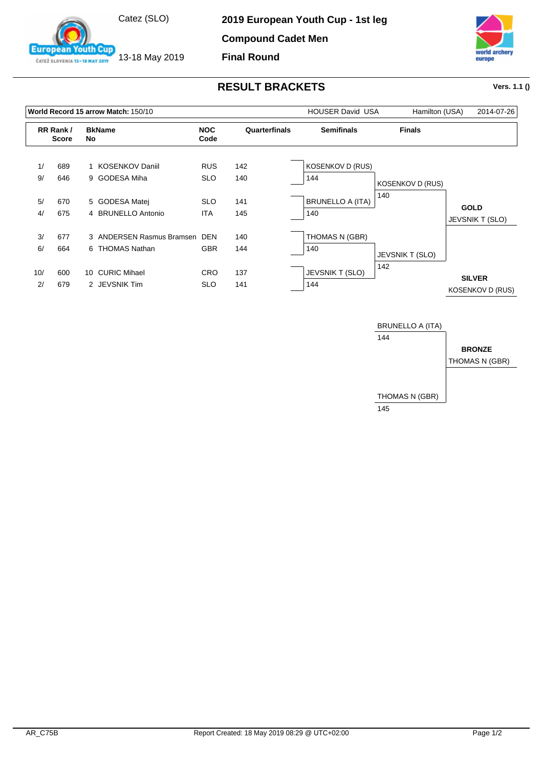

13-18 May 2019

outh Cup

**European** 

ČATEŽ SLOVENIA 13-18 MAY 2019

**Compound Cadet Men**

**Final Round**



## **RESULT BRACKETS Vers. 1.1 ()**

|           |                          | World Record 15 arrow Match: 150/10        |                          | <b>HOUSER David USA</b> | Hamilton (USA)                 | 2014-07-26              |                                          |
|-----------|--------------------------|--------------------------------------------|--------------------------|-------------------------|--------------------------------|-------------------------|------------------------------------------|
|           | RR Rank/<br><b>Score</b> | <b>BkName</b><br>No                        | <b>NOC</b><br>Code       | Quarterfinals           | <b>Semifinals</b>              | <b>Finals</b>           |                                          |
| 1/        | 689                      | 1 KOSENKOV Daniil                          | <b>RUS</b>               | 142                     | <b>KOSENKOV D (RUS)</b>        |                         |                                          |
| 9/        | 646                      | 9 GODESA Miha                              | <b>SLO</b>               | 140                     | 144                            | <b>KOSENKOV D (RUS)</b> |                                          |
| 5/<br>4/  | 670<br>675               | 5 GODESA Matej<br>4 BRUNELLO Antonio       | <b>SLO</b><br><b>ITA</b> | 141<br>145              | <b>BRUNELLO A (ITA)</b><br>140 | 140                     | <b>GOLD</b><br><b>JEVSNIK T (SLO)</b>    |
| 3/        | 677                      | 3 ANDERSEN Rasmus Bramsen                  | <b>DEN</b>               | 140                     | THOMAS N (GBR)                 |                         |                                          |
| 6/        | 664                      | 6 THOMAS Nathan                            | <b>GBR</b>               | 144                     | 140                            | <b>JEVSNIK T (SLO)</b>  |                                          |
| 10/<br>2/ | 600<br>679               | <b>CURIC Mihael</b><br>10<br>2 JEVSNIK Tim | <b>CRO</b><br><b>SLO</b> | 137<br>141              | JEVSNIK T (SLO)<br>144         | 142                     | <b>SILVER</b><br><b>KOSENKOV D (RUS)</b> |